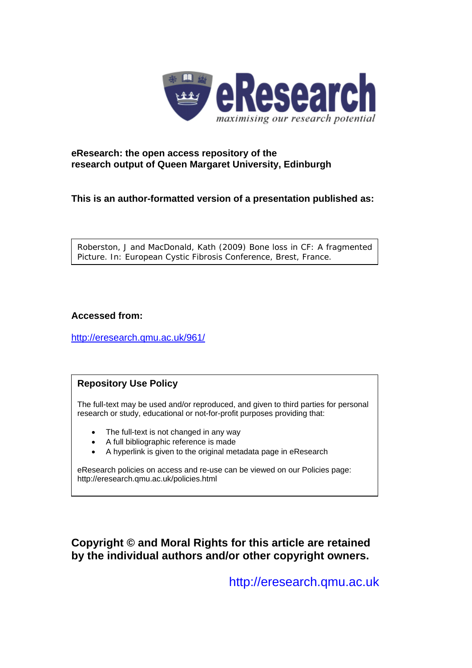

## **eResearch: the open access repository of the research output of Queen Margaret University, Edinburgh**

**This is an author-formatted version of a presentation published as:** 

Roberston, J and MacDonald, Kath (2009) *Bone loss in CF: A fragmented Picture.* In: European Cystic Fibrosis Conference, Brest, France.

## **Accessed from:**

<http://eresearch.qmu.ac.uk/961/>

## **Repository Use Policy**

The full-text may be used and/or reproduced, and given to third parties for personal research or study, educational or not-for-profit purposes providing that:

- The full-text is not changed in any way
- A full bibliographic reference is made
- A hyperlink is given to the original metadata page in eResearch

eResearch policies on access and re-use can be viewed on our Policies page: <http://eresearch.qmu.ac.uk/policies.html>

**Copyright © and Moral Rights for this article are retained by the individual authors and/or other copyright owners.** 

[http://eresearch.qmu.ac.uk](http://eresearch.qmu.ac.uk/)